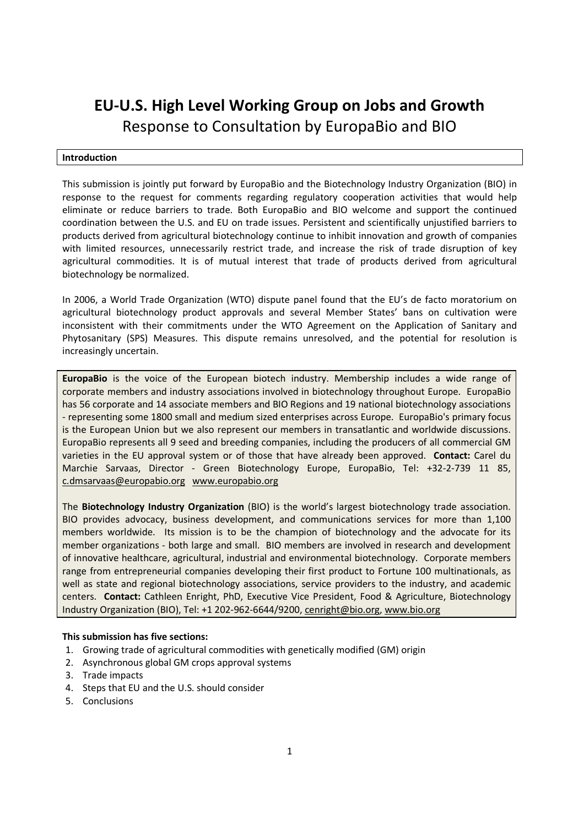# EU-U.S. High Level Working Group on Jobs and Growth Response to Consultation by EuropaBio and BIO

# Introduction

This submission is jointly put forward by EuropaBio and the Biotechnology Industry Organization (BIO) in response to the request for comments regarding regulatory cooperation activities that would help eliminate or reduce barriers to trade. Both EuropaBio and BIO welcome and support the continued coordination between the U.S. and EU on trade issues. Persistent and scientifically unjustified barriers to products derived from agricultural biotechnology continue to inhibit innovation and growth of companies with limited resources, unnecessarily restrict trade, and increase the risk of trade disruption of key agricultural commodities. It is of mutual interest that trade of products derived from agricultural biotechnology be normalized.

In 2006, a World Trade Organization (WTO) dispute panel found that the EU's de facto moratorium on agricultural biotechnology product approvals and several Member States' bans on cultivation were inconsistent with their commitments under the WTO Agreement on the Application of Sanitary and Phytosanitary (SPS) Measures. This dispute remains unresolved, and the potential for resolution is increasingly uncertain.

EuropaBio is the voice of the European biotech industry. Membership includes a wide range of corporate members and industry associations involved in biotechnology throughout Europe. EuropaBio has 56 corporate and 14 associate members and BIO Regions and 19 national biotechnology associations - representing some 1800 small and medium sized enterprises across Europe. EuropaBio's primary focus is the European Union but we also represent our members in transatlantic and worldwide discussions. EuropaBio represents all 9 seed and breeding companies, including the producers of all commercial GM varieties in the EU approval system or of those that have already been approved. Contact: Carel du Marchie Sarvaas, Director - Green Biotechnology Europe, EuropaBio, Tel: +32-2-739 11 85, c.dmsarvaas@europabio.org www.europabio.org

The Biotechnology Industry Organization (BIO) is the world's largest biotechnology trade association. BIO provides advocacy, business development, and communications services for more than 1,100 members worldwide. Its mission is to be the champion of biotechnology and the advocate for its member organizations - both large and small. BIO members are involved in research and development of innovative healthcare, agricultural, industrial and environmental biotechnology. Corporate members range from entrepreneurial companies developing their first product to Fortune 100 multinationals, as well as state and regional biotechnology associations, service providers to the industry, and academic centers. Contact: Cathleen Enright, PhD, Executive Vice President, Food & Agriculture, Biotechnology Industry Organization (BIO), Tel: +1 202-962-6644/9200, cenright@bio.org, www.bio.org

## This submission has five sections:

- 1. Growing trade of agricultural commodities with genetically modified (GM) origin
- 2. Asynchronous global GM crops approval systems
- 3. Trade impacts
- 4. Steps that EU and the U.S. should consider
- 5. Conclusions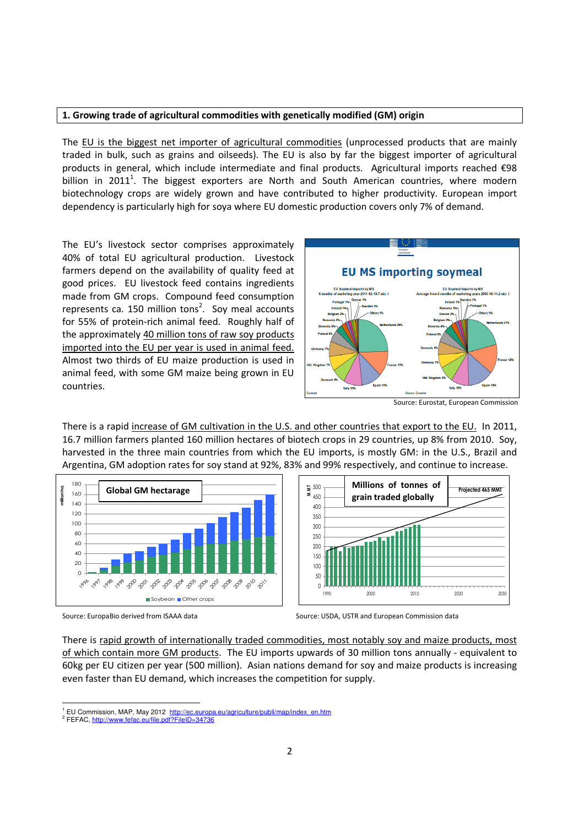## 1. Growing trade of agricultural commodities with genetically modified (GM) origin

The EU is the biggest net importer of agricultural commodities (unprocessed products that are mainly traded in bulk, such as grains and oilseeds). The EU is also by far the biggest importer of agricultural products in general, which include intermediate and final products. Agricultural imports reached €98 billion in 2011<sup>1</sup>. The biggest exporters are North and South American countries, where modern biotechnology crops are widely grown and have contributed to higher productivity. European import dependency is particularly high for soya where EU domestic production covers only 7% of demand.

The EU's livestock sector comprises approximately 40% of total EU agricultural production. Livestock farmers depend on the availability of quality feed at good prices. EU livestock feed contains ingredients made from GM crops. Compound feed consumption represents ca. 150 million tons<sup>2</sup>. Soy meal accounts for 55% of protein-rich animal feed. Roughly half of the approximately 40 million tons of raw soy products imported into the EU per year is used in animal feed. Almost two thirds of EU maize production is used in animal feed, with some GM maize being grown in EU countries.



Source: Eurostat, European Commission

There is a rapid increase of GM cultivation in the U.S. and other countries that export to the EU. In 2011, 16.7 million farmers planted 160 million hectares of biotech crops in 29 countries, up 8% from 2010. Soy, harvested in the three main countries from which the EU imports, is mostly GM: in the U.S., Brazil and Argentina, GM adoption rates for soy stand at 92%, 83% and 99% respectively, and continue to increase.





There is rapid growth of internationally traded commodities, most notably soy and maize products, most of which contain more GM products. The EU imports upwards of 30 million tons annually - equivalent to 60kg per EU citizen per year (500 million). Asian nations demand for soy and maize products is increasing even faster than EU demand, which increases the competition for supply.

Source: EuropaBio derived from ISAAA data Source: USDA, USTR and European Commission data

 $\overline{\phantom{0}}$ <sup>1</sup> EU Commission, MAP, May 2012 http://ec.europa.eu/agriculture/publi/map/index\_en.htm

<sup>&</sup>lt;sup>2</sup> FEFAC, http://www.fefac.eu/file.pdf?FileID=34736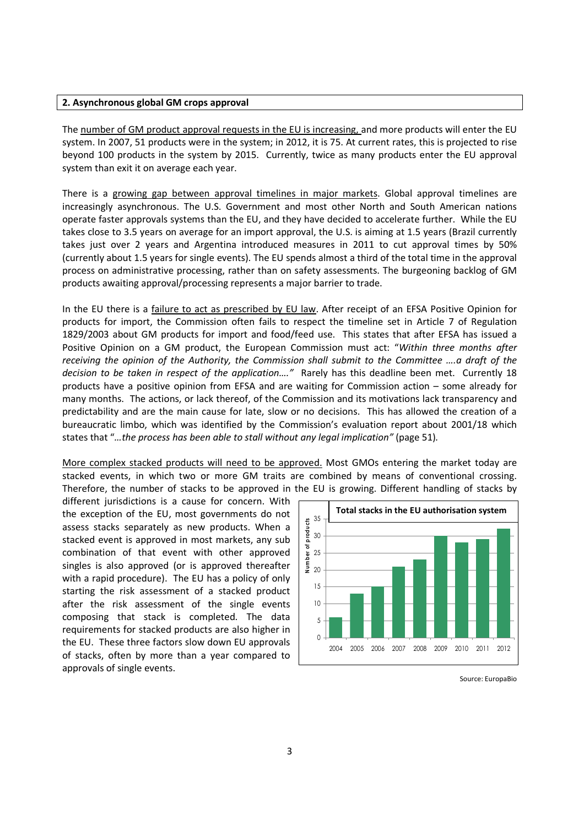## 2. Asynchronous global GM crops approval

The number of GM product approval requests in the EU is increasing, and more products will enter the EU system. In 2007, 51 products were in the system; in 2012, it is 75. At current rates, this is projected to rise beyond 100 products in the system by 2015. Currently, twice as many products enter the EU approval system than exit it on average each year.

There is a growing gap between approval timelines in major markets. Global approval timelines are increasingly asynchronous. The U.S. Government and most other North and South American nations operate faster approvals systems than the EU, and they have decided to accelerate further. While the EU takes close to 3.5 years on average for an import approval, the U.S. is aiming at 1.5 years (Brazil currently takes just over 2 years and Argentina introduced measures in 2011 to cut approval times by 50% (currently about 1.5 years for single events). The EU spends almost a third of the total time in the approval process on administrative processing, rather than on safety assessments. The burgeoning backlog of GM products awaiting approval/processing represents a major barrier to trade.

In the EU there is a failure to act as prescribed by EU law. After receipt of an EFSA Positive Opinion for products for import, the Commission often fails to respect the timeline set in Article 7 of Regulation 1829/2003 about GM products for import and food/feed use. This states that after EFSA has issued a Positive Opinion on a GM product, the European Commission must act: "Within three months after receiving the opinion of the Authority, the Commission shall submit to the Committee ….a draft of the decision to be taken in respect of the application...." Rarely has this deadline been met. Currently 18 products have a positive opinion from EFSA and are waiting for Commission action – some already for many months. The actions, or lack thereof, of the Commission and its motivations lack transparency and predictability and are the main cause for late, slow or no decisions. This has allowed the creation of a bureaucratic limbo, which was identified by the Commission's evaluation report about 2001/18 which states that "…the process has been able to stall without any legal implication" (page 51).

More complex stacked products will need to be approved. Most GMOs entering the market today are stacked events, in which two or more GM traits are combined by means of conventional crossing. Therefore, the number of stacks to be approved in the EU is growing. Different handling of stacks by

different jurisdictions is a cause for concern. With the exception of the EU, most governments do not assess stacks separately as new products. When a stacked event is approved in most markets, any sub combination of that event with other approved singles is also approved (or is approved thereafter with a rapid procedure). The EU has a policy of only starting the risk assessment of a stacked product after the risk assessment of the single events composing that stack is completed. The data requirements for stacked products are also higher in the EU. These three factors slow down EU approvals of stacks, often by more than a year compared to approvals of single events.



Source: EuropaBio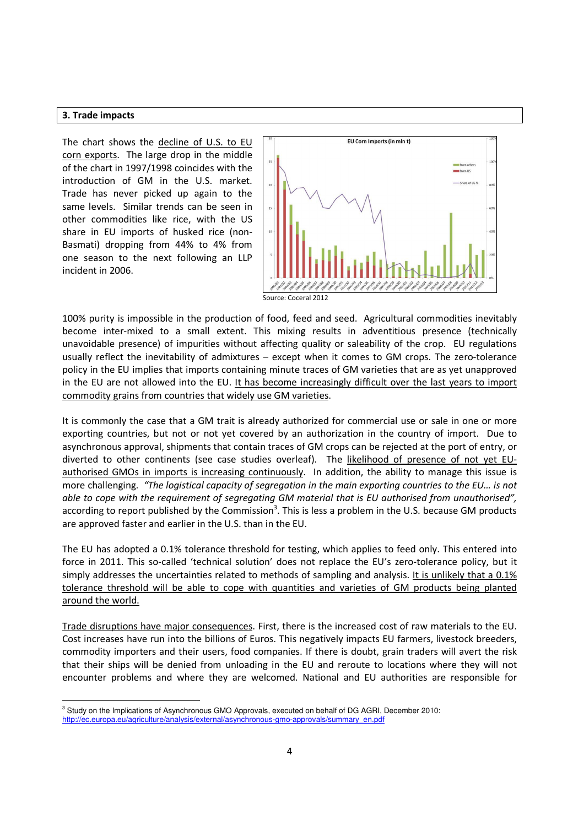#### 3. Trade impacts

 $\overline{\phantom{0}}$ 

The chart shows the decline of U.S. to EU corn exports. The large drop in the middle of the chart in 1997/1998 coincides with the introduction of GM in the U.S. market. Trade has never picked up again to the same levels. Similar trends can be seen in other commodities like rice, with the US share in EU imports of husked rice (non-Basmati) dropping from 44% to 4% from one season to the next following an LLP incident in 2006.



100% purity is impossible in the production of food, feed and seed. Agricultural commodities inevitably become inter-mixed to a small extent. This mixing results in adventitious presence (technically unavoidable presence) of impurities without affecting quality or saleability of the crop. EU regulations usually reflect the inevitability of admixtures – except when it comes to GM crops. The zero-tolerance policy in the EU implies that imports containing minute traces of GM varieties that are as yet unapproved in the EU are not allowed into the EU. It has become increasingly difficult over the last years to import commodity grains from countries that widely use GM varieties.

It is commonly the case that a GM trait is already authorized for commercial use or sale in one or more exporting countries, but not or not yet covered by an authorization in the country of import. Due to asynchronous approval, shipments that contain traces of GM crops can be rejected at the port of entry, or diverted to other continents (see case studies overleaf). The likelihood of presence of not yet EUauthorised GMOs in imports is increasing continuously. In addition, the ability to manage this issue is more challenging. "The logistical capacity of segregation in the main exporting countries to the EU… is not able to cope with the requirement of segregating GM material that is EU authorised from unauthorised", according to report published by the Commission<sup>3</sup>. This is less a problem in the U.S. because GM products are approved faster and earlier in the U.S. than in the EU.

The EU has adopted a 0.1% tolerance threshold for testing, which applies to feed only. This entered into force in 2011. This so-called 'technical solution' does not replace the EU's zero-tolerance policy, but it simply addresses the uncertainties related to methods of sampling and analysis. It is unlikely that a 0.1% tolerance threshold will be able to cope with quantities and varieties of GM products being planted around the world.

Trade disruptions have major consequences. First, there is the increased cost of raw materials to the EU. Cost increases have run into the billions of Euros. This negatively impacts EU farmers, livestock breeders, commodity importers and their users, food companies. If there is doubt, grain traders will avert the risk that their ships will be denied from unloading in the EU and reroute to locations where they will not encounter problems and where they are welcomed. National and EU authorities are responsible for

<sup>&</sup>lt;sup>3</sup> Study on the Implications of Asynchronous GMO Approvals, executed on behalf of DG AGRI, December 2010: http://ec.europa.eu/agriculture/analysis/external/asynchronous-gmo-approvals/summary\_en.pdf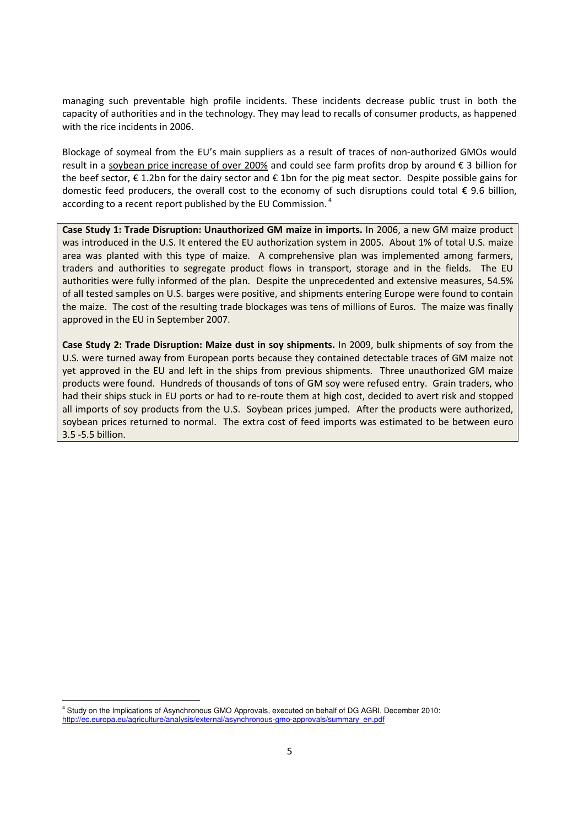managing such preventable high profile incidents. These incidents decrease public trust in both the capacity of authorities and in the technology. They may lead to recalls of consumer products, as happened with the rice incidents in 2006.

Blockage of soymeal from the EU's main suppliers as a result of traces of non-authorized GMOs would result in a soybean price increase of over 200% and could see farm profits drop by around € 3 billion for the beef sector,  $\epsilon$  1.2bn for the dairy sector and  $\epsilon$  1bn for the pig meat sector. Despite possible gains for domestic feed producers, the overall cost to the economy of such disruptions could total  $\epsilon$  9.6 billion, according to a recent report published by the EU Commission.<sup>4</sup>

Case Study 1: Trade Disruption: Unauthorized GM maize in imports. In 2006, a new GM maize product was introduced in the U.S. It entered the EU authorization system in 2005. About 1% of total U.S. maize area was planted with this type of maize. A comprehensive plan was implemented among farmers, traders and authorities to segregate product flows in transport, storage and in the fields. The EU authorities were fully informed of the plan. Despite the unprecedented and extensive measures, 54.5% of all tested samples on U.S. barges were positive, and shipments entering Europe were found to contain the maize. The cost of the resulting trade blockages was tens of millions of Euros. The maize was finally approved in the EU in September 2007.

Case Study 2: Trade Disruption: Maize dust in soy shipments. In 2009, bulk shipments of soy from the U.S. were turned away from European ports because they contained detectable traces of GM maize not yet approved in the EU and left in the ships from previous shipments. Three unauthorized GM maize products were found. Hundreds of thousands of tons of GM soy were refused entry. Grain traders, who had their ships stuck in EU ports or had to re-route them at high cost, decided to avert risk and stopped all imports of soy products from the U.S. Soybean prices jumped. After the products were authorized, soybean prices returned to normal. The extra cost of feed imports was estimated to be between euro 3.5 -5.5 billion.

 $\overline{\phantom{0}}$ 

<sup>4</sup> Study on the Implications of Asynchronous GMO Approvals, executed on behalf of DG AGRI, December 2010: http://ec.europa.eu/agriculture/analysis/external/asynchronous-gmo-approvals/summary\_en.pdf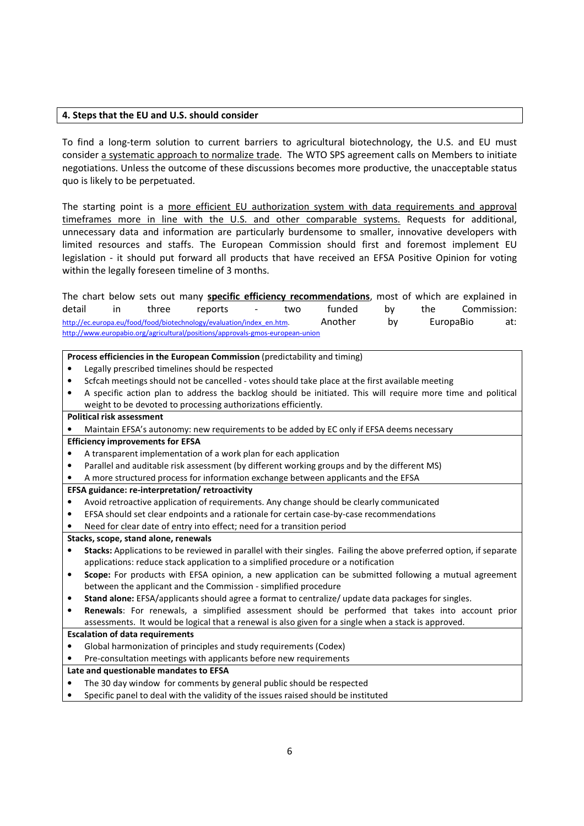## 4. Steps that the EU and U.S. should consider

To find a long-term solution to current barriers to agricultural biotechnology, the U.S. and EU must consider a systematic approach to normalize trade. The WTO SPS agreement calls on Members to initiate negotiations. Unless the outcome of these discussions becomes more productive, the unacceptable status quo is likely to be perpetuated.

The starting point is a more efficient EU authorization system with data requirements and approval timeframes more in line with the U.S. and other comparable systems. Requests for additional, unnecessary data and information are particularly burdensome to smaller, innovative developers with limited resources and staffs. The European Commission should first and foremost implement EU legislation - it should put forward all products that have received an EFSA Positive Opinion for voting within the legally foreseen timeline of 3 months.

The chart below sets out many specific efficiency recommendations, most of which are explained in detail in three reports - two funded by the Commission: http://ec.europa.eu/food/food/biotechnology/evaluation/index\_en.htm. Another by EuropaBio at: http://www.europabio.org/agricultural/positions/approvals-gmos-european-union

Process efficiencies in the European Commission (predictability and timing)

- Legally prescribed timelines should be respected
- Scfcah meetings should not be cancelled votes should take place at the first available meeting
- A specific action plan to address the backlog should be initiated. This will require more time and political weight to be devoted to processing authorizations efficiently.

# Political risk assessment

• Maintain EFSA's autonomy: new requirements to be added by EC only if EFSA deems necessary

## Efficiency improvements for EFSA

- A transparent implementation of a work plan for each application
- Parallel and auditable risk assessment (by different working groups and by the different MS)
- A more structured process for information exchange between applicants and the EFSA

### EFSA guidance: re-interpretation/ retroactivity

- Avoid retroactive application of requirements. Any change should be clearly communicated
- EFSA should set clear endpoints and a rationale for certain case-by-case recommendations
- Need for clear date of entry into effect; need for a transition period
- Stacks, scope, stand alone, renewals
- Stacks: Applications to be reviewed in parallel with their singles. Failing the above preferred option, if separate applications: reduce stack application to a simplified procedure or a notification
- Scope: For products with EFSA opinion, a new application can be submitted following a mutual agreement between the applicant and the Commission - simplified procedure
- Stand alone: EFSA/applicants should agree a format to centralize/ update data packages for singles.
- Renewals: For renewals, a simplified assessment should be performed that takes into account prior assessments. It would be logical that a renewal is also given for a single when a stack is approved.

## Escalation of data requirements

- Global harmonization of principles and study requirements (Codex)
- Pre-consultation meetings with applicants before new requirements

### Late and questionable mandates to EFSA

- The 30 day window for comments by general public should be respected
- Specific panel to deal with the validity of the issues raised should be instituted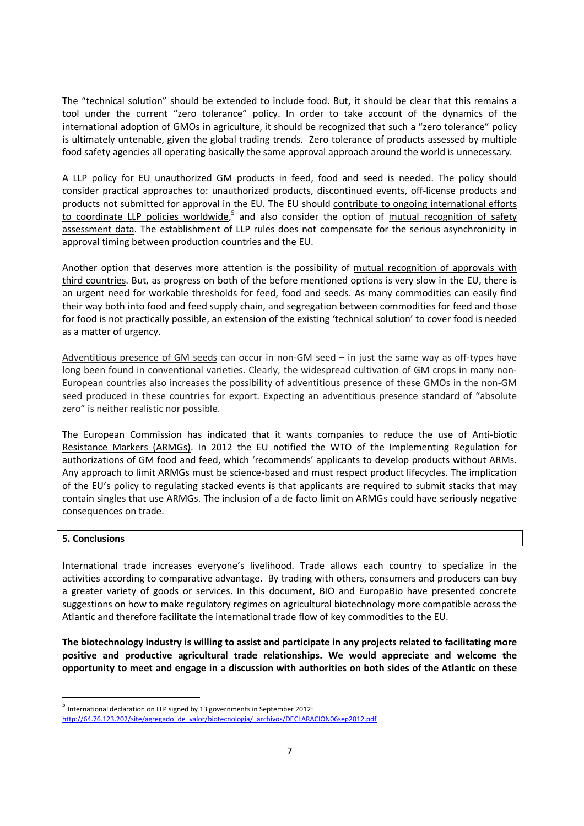The "technical solution" should be extended to include food. But, it should be clear that this remains a tool under the current "zero tolerance" policy. In order to take account of the dynamics of the international adoption of GMOs in agriculture, it should be recognized that such a "zero tolerance" policy is ultimately untenable, given the global trading trends. Zero tolerance of products assessed by multiple food safety agencies all operating basically the same approval approach around the world is unnecessary.

A LLP policy for EU unauthorized GM products in feed, food and seed is needed. The policy should consider practical approaches to: unauthorized products, discontinued events, off-license products and products not submitted for approval in the EU. The EU should contribute to ongoing international efforts to coordinate LLP policies worldwide,<sup>5</sup> and also consider the option of mutual recognition of safety assessment data. The establishment of LLP rules does not compensate for the serious asynchronicity in approval timing between production countries and the EU.

Another option that deserves more attention is the possibility of mutual recognition of approvals with third countries. But, as progress on both of the before mentioned options is very slow in the EU, there is an urgent need for workable thresholds for feed, food and seeds. As many commodities can easily find their way both into food and feed supply chain, and segregation between commodities for feed and those for food is not practically possible, an extension of the existing 'technical solution' to cover food is needed as a matter of urgency.

Adventitious presence of GM seeds can occur in non-GM seed – in just the same way as off-types have long been found in conventional varieties. Clearly, the widespread cultivation of GM crops in many non-European countries also increases the possibility of adventitious presence of these GMOs in the non-GM seed produced in these countries for export. Expecting an adventitious presence standard of "absolute zero" is neither realistic nor possible.

The European Commission has indicated that it wants companies to reduce the use of Anti-biotic Resistance Markers (ARMGs). In 2012 the EU notified the WTO of the Implementing Regulation for authorizations of GM food and feed, which 'recommends' applicants to develop products without ARMs. Any approach to limit ARMGs must be science-based and must respect product lifecycles. The implication of the EU's policy to regulating stacked events is that applicants are required to submit stacks that may contain singles that use ARMGs. The inclusion of a de facto limit on ARMGs could have seriously negative consequences on trade.

## 5. Conclusions

 $\overline{a}$ 

International trade increases everyone's livelihood. Trade allows each country to specialize in the activities according to comparative advantage. By trading with others, consumers and producers can buy a greater variety of goods or services. In this document, BIO and EuropaBio have presented concrete suggestions on how to make regulatory regimes on agricultural biotechnology more compatible across the Atlantic and therefore facilitate the international trade flow of key commodities to the EU.

The biotechnology industry is willing to assist and participate in any projects related to facilitating more positive and productive agricultural trade relationships. We would appreciate and welcome the opportunity to meet and engage in a discussion with authorities on both sides of the Atlantic on these

<sup>&</sup>lt;sup>5</sup> International declaration on LLP signed by 13 governments in September 2012:

http://64.76.123.202/site/agregado\_de\_valor/biotecnologia/\_archivos/DECLARACION06sep2012.pdf